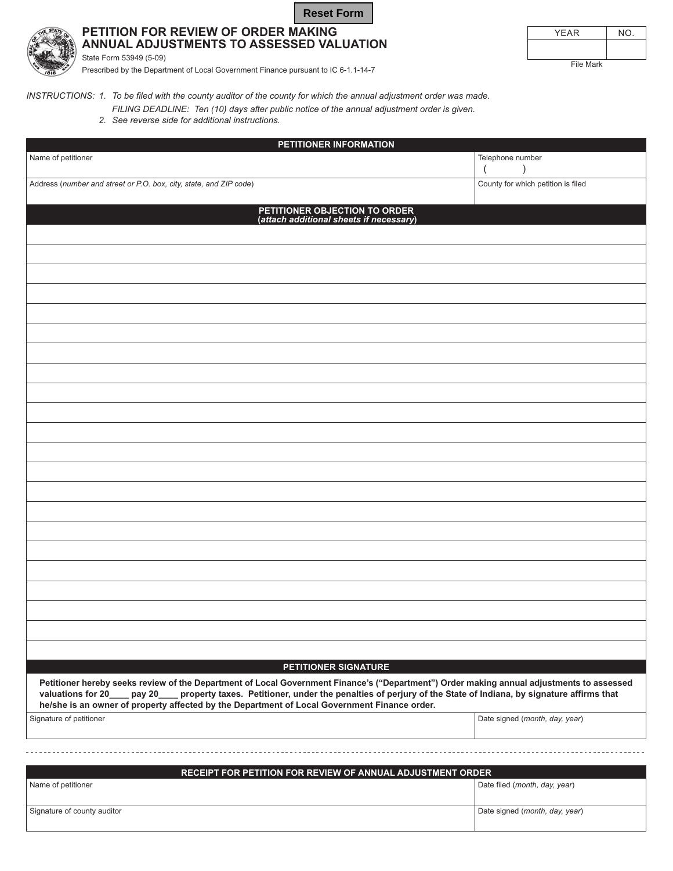| <b>Reset Form</b> |
|-------------------|
|                   |



State Form 53949 (5-09)

## PETITION FOR REVIEW OF ORDER MAKING ANNUAL ADJUSTMENTS TO ASSESSED VALUATION

**YEAR**  $N$ O. File Mark

Prescribed by the Department of Local Government Finance pursuant to IC 6-1.1-14-7

INSTRUCTIONS: 1. To be filed with the county auditor of the county for which the annual adjustment order was made.

FILING DEADLINE: Ten (10) days after public notice of the annual adjustment order is given.

2. See reverse side for additional instructions.

| PETITIONER INFORMATION                                                                                                                                                                                                                                                                                                                                                                    |                                    |  |
|-------------------------------------------------------------------------------------------------------------------------------------------------------------------------------------------------------------------------------------------------------------------------------------------------------------------------------------------------------------------------------------------|------------------------------------|--|
| Name of petitioner                                                                                                                                                                                                                                                                                                                                                                        | Telephone number                   |  |
| Address (number and street or P.O. box, city, state, and ZIP code)                                                                                                                                                                                                                                                                                                                        | County for which petition is filed |  |
| PETITIONER OBJECTION TO ORDER<br>(attach additional sheets if necessary)                                                                                                                                                                                                                                                                                                                  |                                    |  |
|                                                                                                                                                                                                                                                                                                                                                                                           |                                    |  |
|                                                                                                                                                                                                                                                                                                                                                                                           |                                    |  |
|                                                                                                                                                                                                                                                                                                                                                                                           |                                    |  |
|                                                                                                                                                                                                                                                                                                                                                                                           |                                    |  |
|                                                                                                                                                                                                                                                                                                                                                                                           |                                    |  |
|                                                                                                                                                                                                                                                                                                                                                                                           |                                    |  |
|                                                                                                                                                                                                                                                                                                                                                                                           |                                    |  |
|                                                                                                                                                                                                                                                                                                                                                                                           |                                    |  |
|                                                                                                                                                                                                                                                                                                                                                                                           |                                    |  |
|                                                                                                                                                                                                                                                                                                                                                                                           |                                    |  |
|                                                                                                                                                                                                                                                                                                                                                                                           |                                    |  |
|                                                                                                                                                                                                                                                                                                                                                                                           |                                    |  |
|                                                                                                                                                                                                                                                                                                                                                                                           |                                    |  |
|                                                                                                                                                                                                                                                                                                                                                                                           |                                    |  |
|                                                                                                                                                                                                                                                                                                                                                                                           |                                    |  |
|                                                                                                                                                                                                                                                                                                                                                                                           |                                    |  |
|                                                                                                                                                                                                                                                                                                                                                                                           |                                    |  |
|                                                                                                                                                                                                                                                                                                                                                                                           |                                    |  |
|                                                                                                                                                                                                                                                                                                                                                                                           |                                    |  |
|                                                                                                                                                                                                                                                                                                                                                                                           |                                    |  |
|                                                                                                                                                                                                                                                                                                                                                                                           |                                    |  |
|                                                                                                                                                                                                                                                                                                                                                                                           |                                    |  |
| PETITIONER SIGNATURE                                                                                                                                                                                                                                                                                                                                                                      |                                    |  |
| Petitioner hereby seeks review of the Department of Local Government Finance's ("Department") Order making annual adjustments to assessed<br>property taxes. Petitioner, under the penalties of perjury of the State of Indiana, by signature affirms that<br>valuations for 20<br>pay 20<br>he/she is an owner of property affected by the Department of Local Government Finance order. |                                    |  |
| Signature of petitioner                                                                                                                                                                                                                                                                                                                                                                   | Date signed (month, day, year)     |  |
|                                                                                                                                                                                                                                                                                                                                                                                           |                                    |  |
| <b>DECEIDT EOD DETITION EOD DEVIEW OF ANNUAL AD ILISTMENT ODDED</b>                                                                                                                                                                                                                                                                                                                       |                                    |  |

| RECEIPT FOR PETITION FOR REVIEW OF ANNUAL ADJUSTMENT ORDER |                                |  |
|------------------------------------------------------------|--------------------------------|--|
| Name of petitioner                                         | Date filed (month, day, year)  |  |
| Signature of county auditor                                | Date signed (month, day, year) |  |